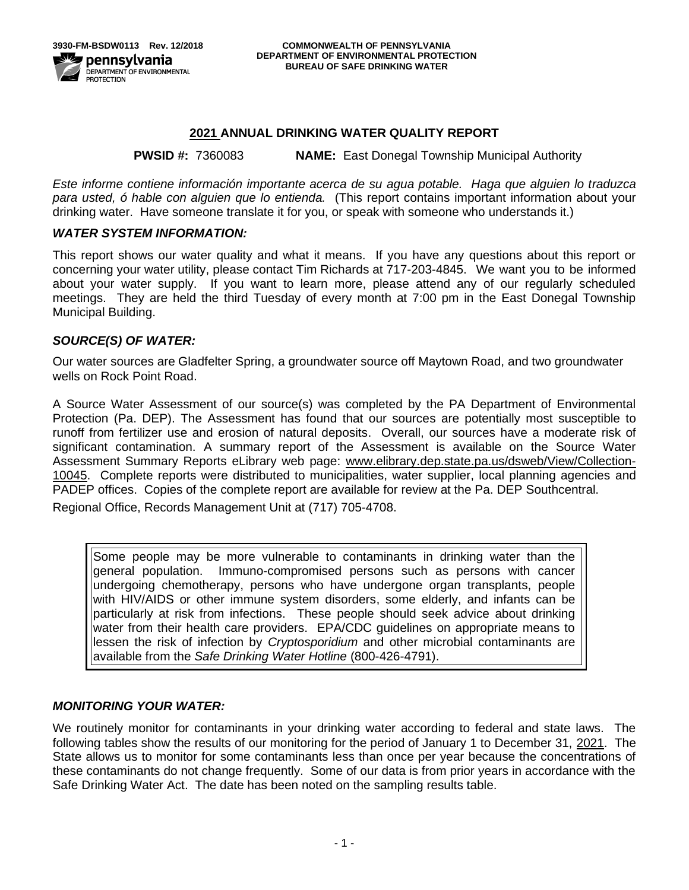## **2021 ANNUAL DRINKING WATER QUALITY REPORT**

### **PWSID #:** 7360083 **NAME:** East Donegal Township Municipal Authority

*Este informe contiene información importante acerca de su agua potable. Haga que alguien lo traduzca para usted, ó hable con alguien que lo entienda.* (This report contains important information about your drinking water. Have someone translate it for you, or speak with someone who understands it.)

### *WATER SYSTEM INFORMATION:*

This report shows our water quality and what it means. If you have any questions about this report or concerning your water utility, please contact Tim Richards at 717-203-4845.We want you to be informed about your water supply. If you want to learn more, please attend any of our regularly scheduled meetings. They are held the third Tuesday of every month at 7:00 pm in the East Donegal Township Municipal Building.

### *SOURCE(S) OF WATER:*

Our water sources are Gladfelter Spring, a groundwater source off Maytown Road, and two groundwater wells on Rock Point Road.

A Source Water Assessment of our source(s) was completed by the PA Department of Environmental Protection (Pa. DEP). The Assessment has found that our sources are potentially most susceptible to runoff from fertilizer use and erosion of natural deposits. Overall, our sources have a moderate risk of significant contamination. A summary report of the Assessment is available on the Source Water Assessment Summary Reports eLibrary web page: [www.elibrary.dep.state.pa.us/dsweb/View/Collection-](http://www.elibrary.dep.state.pa.us/dsweb/View/Collection-10045)[10045.](http://www.elibrary.dep.state.pa.us/dsweb/View/Collection-10045) Complete reports were distributed to municipalities, water supplier, local planning agencies and PADEP offices. Copies of the complete report are available for review at the Pa. DEP Southcentral.

Regional Office, Records Management Unit at (717) 705-4708.

Some people may be more vulnerable to contaminants in drinking water than the general population. Immuno-compromised persons such as persons with cancer undergoing chemotherapy, persons who have undergone organ transplants, people with HIV/AIDS or other immune system disorders, some elderly, and infants can be particularly at risk from infections. These people should seek advice about drinking water from their health care providers. EPA/CDC guidelines on appropriate means to lessen the risk of infection by *Cryptosporidium* and other microbial contaminants are available from the *Safe Drinking Water Hotline* (800-426-4791).

### *MONITORING YOUR WATER:*

We routinely monitor for contaminants in your drinking water according to federal and state laws. The following tables show the results of our monitoring for the period of January 1 to December 31, 2021. The State allows us to monitor for some contaminants less than once per year because the concentrations of these contaminants do not change frequently. Some of our data is from prior years in accordance with the Safe Drinking Water Act. The date has been noted on the sampling results table.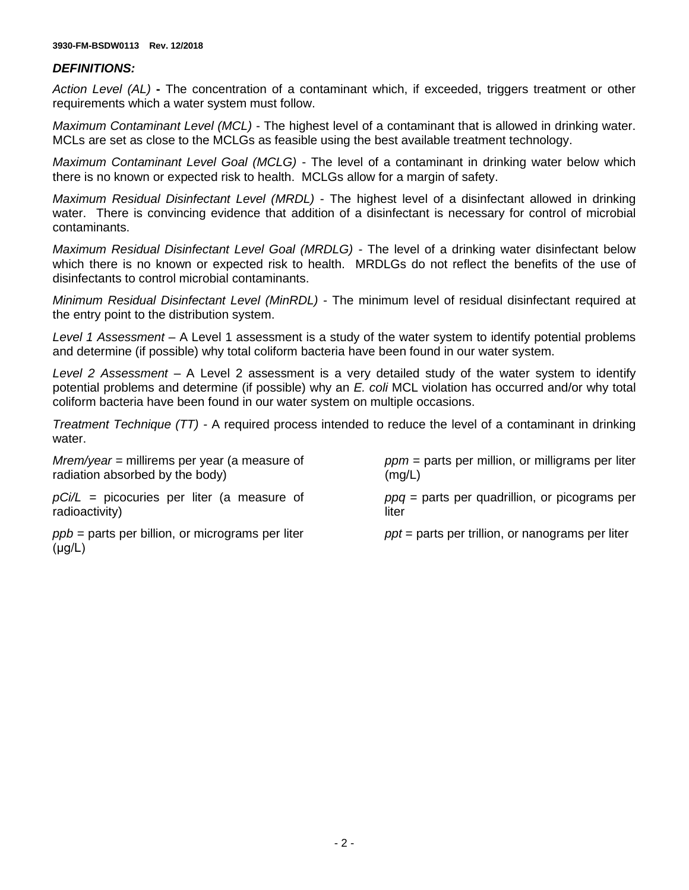#### **3930-FM-BSDW0113 Rev. 12/2018**

### *DEFINITIONS:*

*Action Level (AL)* **-** The concentration of a contaminant which, if exceeded, triggers treatment or other requirements which a water system must follow.

*Maximum Contaminant Level (MCL)* - The highest level of a contaminant that is allowed in drinking water. MCLs are set as close to the MCLGs as feasible using the best available treatment technology.

*Maximum Contaminant Level Goal (MCLG)* - The level of a contaminant in drinking water below which there is no known or expected risk to health. MCLGs allow for a margin of safety.

*Maximum Residual Disinfectant Level (MRDL)* - The highest level of a disinfectant allowed in drinking water. There is convincing evidence that addition of a disinfectant is necessary for control of microbial contaminants.

*Maximum Residual Disinfectant Level Goal (MRDLG)* - The level of a drinking water disinfectant below which there is no known or expected risk to health. MRDLGs do not reflect the benefits of the use of disinfectants to control microbial contaminants.

*Minimum Residual Disinfectant Level (MinRDL) -* The minimum level of residual disinfectant required at the entry point to the distribution system.

*Level 1 Assessment –* A Level 1 assessment is a study of the water system to identify potential problems and determine (if possible) why total coliform bacteria have been found in our water system.

*Level 2 Assessment –* A Level 2 assessment is a very detailed study of the water system to identify potential problems and determine (if possible) why an *E. coli* MCL violation has occurred and/or why total coliform bacteria have been found in our water system on multiple occasions.

*Treatment Technique (TT) -* A required process intended to reduce the level of a contaminant in drinking water.

liter

*Mrem/year =* millirems per year (a measure of radiation absorbed by the body)

*ppm* = parts per million, or milligrams per liter  $(mg/L)$ 

*ppq* = parts per quadrillion, or picograms per

*pCi/L =* picocuries per liter (a measure of radioactivity)

*ppb* = parts per billion, or micrograms per liter  $(\mu q/L)$ 

*ppt* = parts per trillion, or nanograms per liter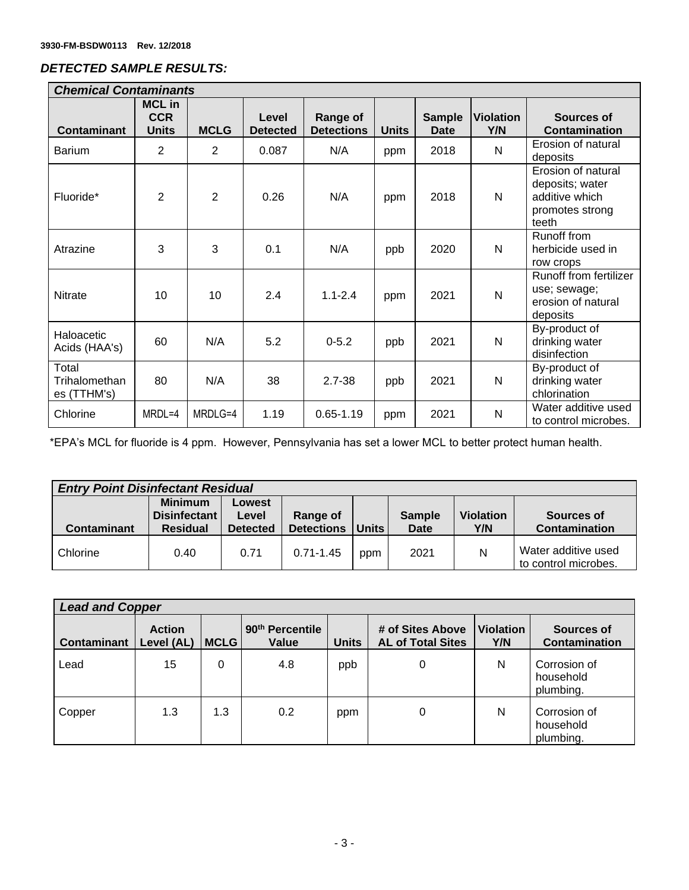# *DETECTED SAMPLE RESULTS:*

| <b>Chemical Contaminants</b>          |                                             |                |                          |                               |              |                       |                         |                                                                                     |
|---------------------------------------|---------------------------------------------|----------------|--------------------------|-------------------------------|--------------|-----------------------|-------------------------|-------------------------------------------------------------------------------------|
| <b>Contaminant</b>                    | <b>MCL in</b><br><b>CCR</b><br><b>Units</b> | <b>MCLG</b>    | Level<br><b>Detected</b> | Range of<br><b>Detections</b> | <b>Units</b> | <b>Sample</b><br>Date | <b>Violation</b><br>Y/N | <b>Sources of</b><br><b>Contamination</b>                                           |
| <b>Barium</b>                         | $\overline{2}$                              | $\overline{2}$ | 0.087                    | N/A                           | ppm          | 2018                  | N                       | Erosion of natural<br>deposits                                                      |
| Fluoride*                             | $\overline{2}$                              | $\overline{2}$ | 0.26                     | N/A                           | ppm          | 2018                  | N                       | Erosion of natural<br>deposits; water<br>additive which<br>promotes strong<br>teeth |
| Atrazine                              | 3                                           | 3              | 0.1                      | N/A                           | ppb          | 2020                  | N                       | Runoff from<br>herbicide used in<br>row crops                                       |
| <b>Nitrate</b>                        | 10                                          | 10             | 2.4                      | $1.1 - 2.4$                   | ppm          | 2021                  | N                       | Runoff from fertilizer<br>use; sewage;<br>erosion of natural<br>deposits            |
| Haloacetic<br>Acids (HAA's)           | 60                                          | N/A            | 5.2                      | $0 - 5.2$                     | ppb          | 2021                  | N                       | By-product of<br>drinking water<br>disinfection                                     |
| Total<br>Trihalomethan<br>es (TTHM's) | 80                                          | N/A            | 38                       | $2.7 - 38$                    | ppb          | 2021                  | N                       | By-product of<br>drinking water<br>chlorination                                     |
| Chlorine                              | MRDL=4                                      | MRDLG=4        | 1.19                     | $0.65 - 1.19$                 | ppm          | 2021                  | N                       | Water additive used<br>to control microbes.                                         |

\*EPA's MCL for fluoride is 4 ppm. However, Pennsylvania has set a lower MCL to better protect human health.

| <b>Entry Point Disinfectant Residual</b> |                                                   |                                    |                               |       |                       |                         |                                             |  |
|------------------------------------------|---------------------------------------------------|------------------------------------|-------------------------------|-------|-----------------------|-------------------------|---------------------------------------------|--|
| <b>Contaminant</b>                       | <b>Minimum</b><br>Disinfectant<br><b>Residual</b> | Lowest<br>Level<br><b>Detected</b> | Range of<br><b>Detections</b> | Units | <b>Sample</b><br>Date | <b>Violation</b><br>Y/N | Sources of<br>Contamination                 |  |
| Chlorine                                 | 0.40                                              | 0.71                               | $0.71 - 1.45$                 | ppm   | 2021                  | N                       | Water additive used<br>to control microbes. |  |

| <b>Lead and Copper</b> |                             |             |                                      |              |                                              |                         |                                        |
|------------------------|-----------------------------|-------------|--------------------------------------|--------------|----------------------------------------------|-------------------------|----------------------------------------|
| <b>Contaminant</b>     | <b>Action</b><br>Level (AL) | <b>MCLG</b> | 90 <sup>th</sup> Percentile<br>Value | <b>Units</b> | # of Sites Above<br><b>AL of Total Sites</b> | <b>Violation</b><br>Y/N | Sources of<br><b>Contamination</b>     |
| Lead                   | 15                          | 0           | 4.8                                  | ppb          | 0                                            | N                       | Corrosion of<br>household<br>plumbing. |
| Copper                 | 1.3                         | 1.3         | 0.2                                  | ppm          | 0                                            | N                       | Corrosion of<br>household<br>plumbing. |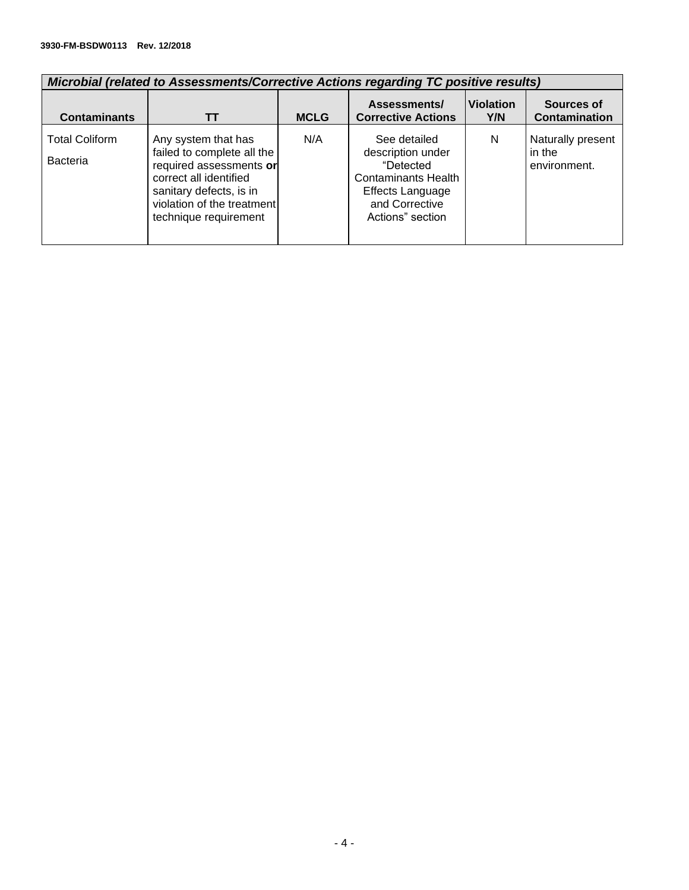#### **3930-FM-BSDW0113 Rev. 12/2018**

| Microbial (related to Assessments/Corrective Actions regarding TC positive results) |                                                                                                                                                                                          |             |                                                                                                                                        |                         |                                             |  |  |  |
|-------------------------------------------------------------------------------------|------------------------------------------------------------------------------------------------------------------------------------------------------------------------------------------|-------------|----------------------------------------------------------------------------------------------------------------------------------------|-------------------------|---------------------------------------------|--|--|--|
| <b>Contaminants</b>                                                                 | TΤ                                                                                                                                                                                       | <b>MCLG</b> | Assessments/<br><b>Corrective Actions</b>                                                                                              | <b>Violation</b><br>Y/N | Sources of<br><b>Contamination</b>          |  |  |  |
| <b>Total Coliform</b><br><b>Bacteria</b>                                            | Any system that has<br>failed to complete all the<br>required assessments or<br>correct all identified<br>sanitary defects, is in<br>violation of the treatment<br>technique requirement | N/A         | See detailed<br>description under<br>"Detected<br><b>Contaminants Health</b><br>Effects Language<br>and Corrective<br>Actions" section | N                       | Naturally present<br>in the<br>environment. |  |  |  |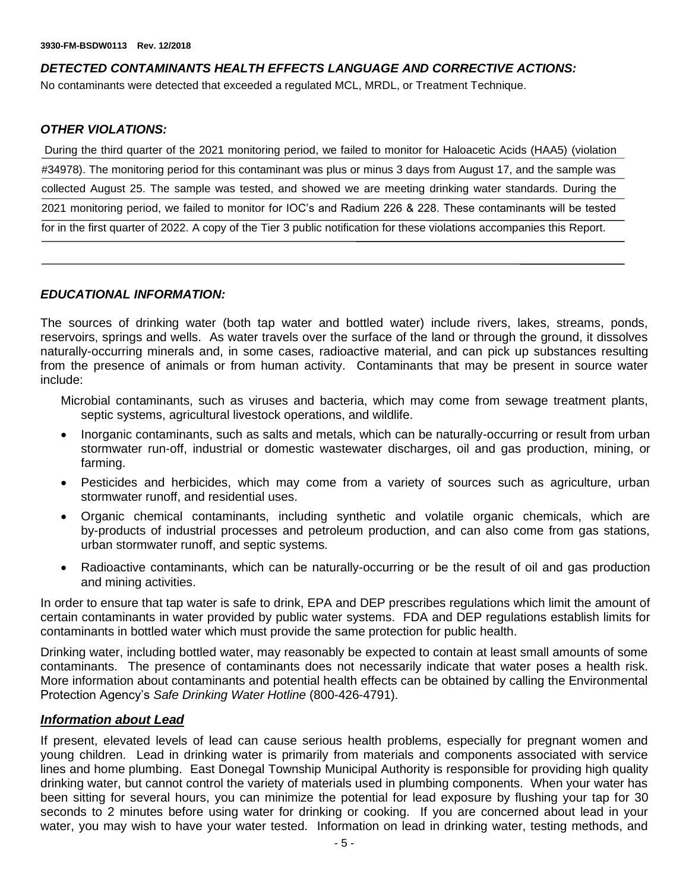# *DETECTED CONTAMINANTS HEALTH EFFECTS LANGUAGE AND CORRECTIVE ACTIONS:*

No contaminants were detected that exceeded a regulated MCL, MRDL, or Treatment Technique.

## *OTHER VIOLATIONS:*

During the third quarter of the 2021 monitoring period, we failed to monitor for Haloacetic Acids (HAA5) (violation #34978). The monitoring period for this contaminant was plus or minus 3 days from August 17, and the sample was collected August 25. The sample was tested, and showed we are meeting drinking water standards. During the 2021 monitoring period, we failed to monitor for IOC's and Radium 226 & 228. These contaminants will be tested for in the first quarter of 2022. A copy of the Tier 3 public notification for these violations accompanies this Report.

### *EDUCATIONAL INFORMATION:*

The sources of drinking water (both tap water and bottled water) include rivers, lakes, streams, ponds, reservoirs, springs and wells. As water travels over the surface of the land or through the ground, it dissolves naturally-occurring minerals and, in some cases, radioactive material, and can pick up substances resulting from the presence of animals or from human activity. Contaminants that may be present in source water include:

- Microbial contaminants, such as viruses and bacteria, which may come from sewage treatment plants, septic systems, agricultural livestock operations, and wildlife.
- Inorganic contaminants, such as salts and metals, which can be naturally-occurring or result from urban stormwater run-off, industrial or domestic wastewater discharges, oil and gas production, mining, or farming.
- Pesticides and herbicides, which may come from a variety of sources such as agriculture, urban stormwater runoff, and residential uses.
- Organic chemical contaminants, including synthetic and volatile organic chemicals, which are by-products of industrial processes and petroleum production, and can also come from gas stations, urban stormwater runoff, and septic systems.
- Radioactive contaminants, which can be naturally-occurring or be the result of oil and gas production and mining activities.

In order to ensure that tap water is safe to drink, EPA and DEP prescribes regulations which limit the amount of certain contaminants in water provided by public water systems. FDA and DEP regulations establish limits for contaminants in bottled water which must provide the same protection for public health.

Drinking water, including bottled water, may reasonably be expected to contain at least small amounts of some contaminants. The presence of contaminants does not necessarily indicate that water poses a health risk. More information about contaminants and potential health effects can be obtained by calling the Environmental Protection Agency's *Safe Drinking Water Hotline* (800-426-4791).

### *Information about Lead*

If present, elevated levels of lead can cause serious health problems, especially for pregnant women and young children. Lead in drinking water is primarily from materials and components associated with service lines and home plumbing. East Donegal Township Municipal Authority is responsible for providing high quality drinking water, but cannot control the variety of materials used in plumbing components. When your water has been sitting for several hours, you can minimize the potential for lead exposure by flushing your tap for 30 seconds to 2 minutes before using water for drinking or cooking. If you are concerned about lead in your water, you may wish to have your water tested. Information on lead in drinking water, testing methods, and